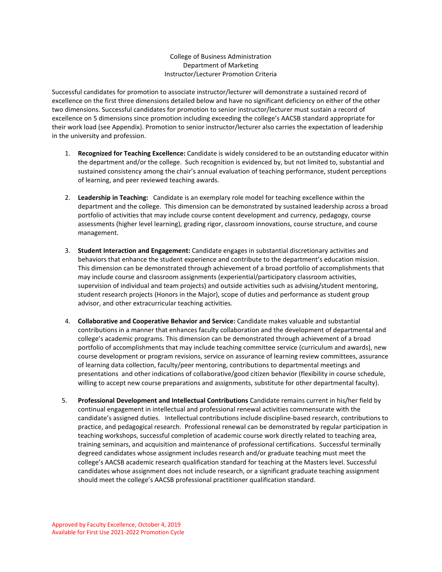#### College of Business Administration Department of Marketing Instructor/Lecturer Promotion Criteria

Successful candidates for promotion to associate instructor/lecturer will demonstrate a sustained record of excellence on the first three dimensions detailed below and have no significant deficiency on either of the other two dimensions. Successful candidates for promotion to senior instructor/lecturer must sustain a record of excellence on 5 dimensions since promotion including exceeding the college's AACSB standard appropriate for their work load (see Appendix). Promotion to senior instructor/lecturer also carries the expectation of leadership in the university and profession.

- 1. **Recognized for Teaching Excellence:** Candidate is widely considered to be an outstanding educator within the department and/or the college. Such recognition is evidenced by, but not limited to, substantial and sustained consistency among the chair's annual evaluation of teaching performance, student perceptions of learning, and peer reviewed teaching awards.
- 2. **Leadership in Teaching:** Candidate is an exemplary role model for teaching excellence within the department and the college. This dimension can be demonstrated by sustained leadership across a broad portfolio of activities that may include course content development and currency, pedagogy, course assessments (higher level learning), grading rigor, classroom innovations, course structure, and course management.
- 3. **Student Interaction and Engagement:** Candidate engages in substantial discretionary activities and behaviors that enhance the student experience and contribute to the department's education mission. This dimension can be demonstrated through achievement of a broad portfolio of accomplishments that may include course and classroom assignments (experiential/participatory classroom activities, supervision of individual and team projects) and outside activities such as advising/student mentoring, student research projects (Honors in the Major), scope of duties and performance as student group advisor, and other extracurricular teaching activities.
- 4. **Collaborative and Cooperative Behavior and Service:** Candidate makes valuable and substantial contributions in a manner that enhances faculty collaboration and the development of departmental and college's academic programs. This dimension can be demonstrated through achievement of a broad portfolio of accomplishments that may include teaching committee service (curriculum and awards), new course development or program revisions, service on assurance of learning review committees, assurance of learning data collection, faculty/peer mentoring, contributions to departmental meetings and presentations and other indications of collaborative/good citizen behavior (flexibility in course schedule, willing to accept new course preparations and assignments, substitute for other departmental faculty).
- 5. **Professional Development and Intellectual Contributions** Candidate remains current in his/her field by continual engagement in intellectual and professional renewal activities commensurate with the candidate's assigned duties. Intellectual contributions include discipline-based research, contributions to practice, and pedagogical research. Professional renewal can be demonstrated by regular participation in teaching workshops, successful completion of academic course work directly related to teaching area, training seminars, and acquisition and maintenance of professional certifications. Successful terminally degreed candidates whose assignment includes research and/or graduate teaching must meet the college's AACSB academic research qualification standard for teaching at the Masters level. Successful candidates whose assignment does not include research, or a significant graduate teaching assignment should meet the college's AACSB professional practitioner qualification standard.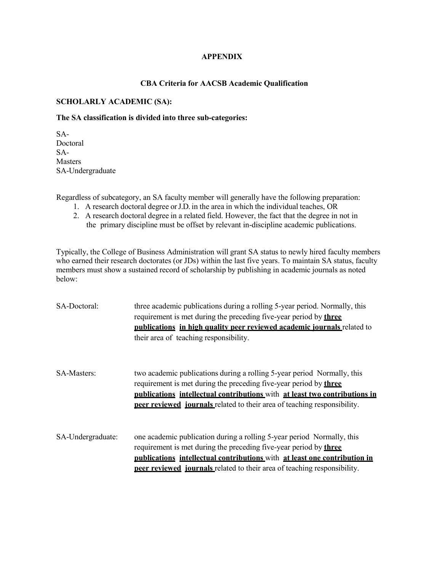### **APPENDIX**

# **CBA Criteria for AACSB Academic Qualification**

### **SCHOLARLY ACADEMIC (SA):**

#### **The SA classification is divided into three sub-categories:**

SA-Doctoral SA-Masters SA-Undergraduate

Regardless of subcategory, an SA faculty member will generally have the following preparation:

- 1. A research doctoral degree orJ.D. in the area in which the individual teaches, OR
- 2. A research doctoral degree in a related field. However, the fact that the degree in not in the primary discipline must be offset by relevant in-discipline academic publications.

Typically, the College of Business Administration will grant SA status to newly hired faculty members who earned their research doctorates (or JDs) within the last five years. To maintain SA status, faculty members must show a sustained record of scholarship by publishing in academic journals as noted below:

| SA-Doctoral:       | three academic publications during a rolling 5-year period. Normally, this<br>requirement is met during the preceding five-year period by <b>three</b><br>publications in high quality peer reviewed academic journals related to<br>their area of teaching responsibility.                                                 |
|--------------------|-----------------------------------------------------------------------------------------------------------------------------------------------------------------------------------------------------------------------------------------------------------------------------------------------------------------------------|
| <b>SA-Masters:</b> | two academic publications during a rolling 5-year period Normally, this<br>requirement is met during the preceding five-year period by <b>three</b><br><b>publications intellectual contributions</b> with at least two contributions in<br><b>peer reviewed</b> journals related to their area of teaching responsibility. |
| SA-Undergraduate:  | one academic publication during a rolling 5-year period Normally, this<br>requirement is met during the preceding five-year period by three<br><b>nublications</b> intellectual contributions with at least one contribution in<br><b>peer reviewed journals</b> related to their area of teaching responsibility.          |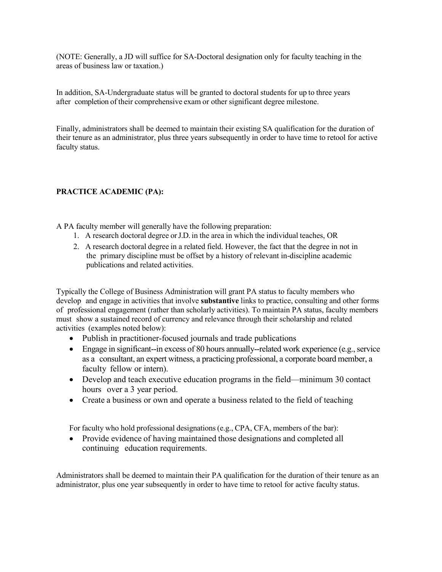(NOTE: Generally, a JD will suffice for SA-Doctoral designation only for faculty teaching in the areas of business law or taxation.)

In addition, SA-Undergraduate status will be granted to doctoral students for up to three years after completion of their comprehensive exam or other significant degree milestone.

Finally, administrators shall be deemed to maintain their existing SA qualification for the duration of their tenure as an administrator, plus three years subsequently in order to have time to retool for active faculty status.

## **PRACTICE ACADEMIC (PA):**

A PA faculty member will generally have the following preparation:

- 1. A research doctoral degree orJ.D. in the area in which the individual teaches, OR
- 2. A research doctoral degree in a related field. However, the fact that the degree in not in the primary discipline must be offset by a history of relevant in-discipline academic publications and related activities.

Typically the College of Business Administration will grant PA status to faculty members who develop and engage in activities that involve **substantive** links to practice, consulting and other forms of professional engagement (rather than scholarly activities). To maintain PA status, faculty members must show a sustained record of currency and relevance through their scholarship and related activities (examples noted below):

- Publish in practitioner-focused journals and trade publications
- Engage in significant--in excess of 80 hours annually--related work experience (e.g., service as a consultant, an expert witness, a practicing professional, a corporate board member, a faculty fellow or intern).
- Develop and teach executive education programs in the field—minimum 30 contact hours over a 3 year period.
- Create a business or own and operate a business related to the field of teaching

For faculty who hold professional designations(e.g., CPA, CFA, members of the bar):

• Provide evidence of having maintained those designations and completed all continuing education requirements.

Administrators shall be deemed to maintain their PA qualification for the duration of their tenure as an administrator, plus one year subsequently in order to have time to retool for active faculty status.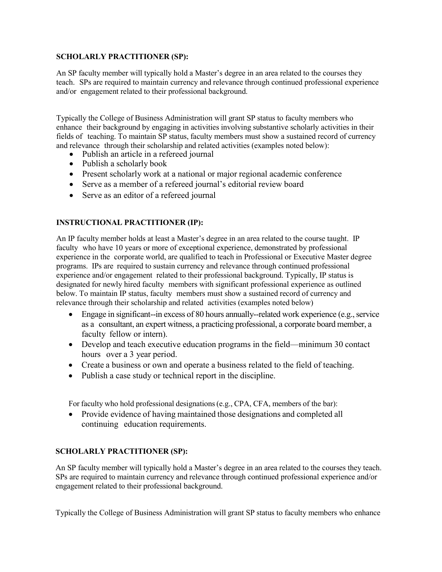### **SCHOLARLY PRACTITIONER (SP):**

An SP faculty member will typically hold a Master's degree in an area related to the courses they teach. SPs are required to maintain currency and relevance through continued professional experience and/or engagement related to their professional background.

Typically the College of Business Administration will grant SP status to faculty members who enhance their background by engaging in activities involving substantive scholarly activities in their fields of teaching. To maintain SP status, faculty members must show a sustained record of currency and relevance through their scholarship and related activities (examples noted below):

- Publish an article in a refereed journal
- Publish a scholarly book
- Present scholarly work at a national or major regional academic conference
- Serve as a member of a refereed journal's editorial review board
- Serve as an editor of a refereed journal

# **INSTRUCTIONAL PRACTITIONER (IP):**

An IP faculty member holds at least a Master's degree in an area related to the course taught. IP faculty who have 10 years or more of exceptional experience, demonstrated by professional experience in the corporate world, are qualified to teach in Professional or Executive Master degree programs. IPs are required to sustain currency and relevance through continued professional experience and/or engagement related to their professional background. Typically, IP status is designated for newly hired faculty members with significant professional experience as outlined below. To maintain IP status, faculty members must show a sustained record of currency and relevance through their scholarship and related activities (examples noted below)

- Engage in significant--in excess of 80 hours annually--related work experience (e.g., service as a consultant, an expert witness, a practicing professional, a corporate board member, a faculty fellow or intern).
- Develop and teach executive education programs in the field—minimum 30 contact hours over a 3 year period.
- Create a business or own and operate a business related to the field of teaching.
- Publish a case study or technical report in the discipline.

For faculty who hold professional designations(e.g., CPA, CFA, members of the bar):

• Provide evidence of having maintained those designations and completed all continuing education requirements.

# **SCHOLARLY PRACTITIONER (SP):**

An SP faculty member will typically hold a Master's degree in an area related to the courses they teach. SPs are required to maintain currency and relevance through continued professional experience and/or engagement related to their professional background.

Typically the College of Business Administration will grant SP status to faculty members who enhance